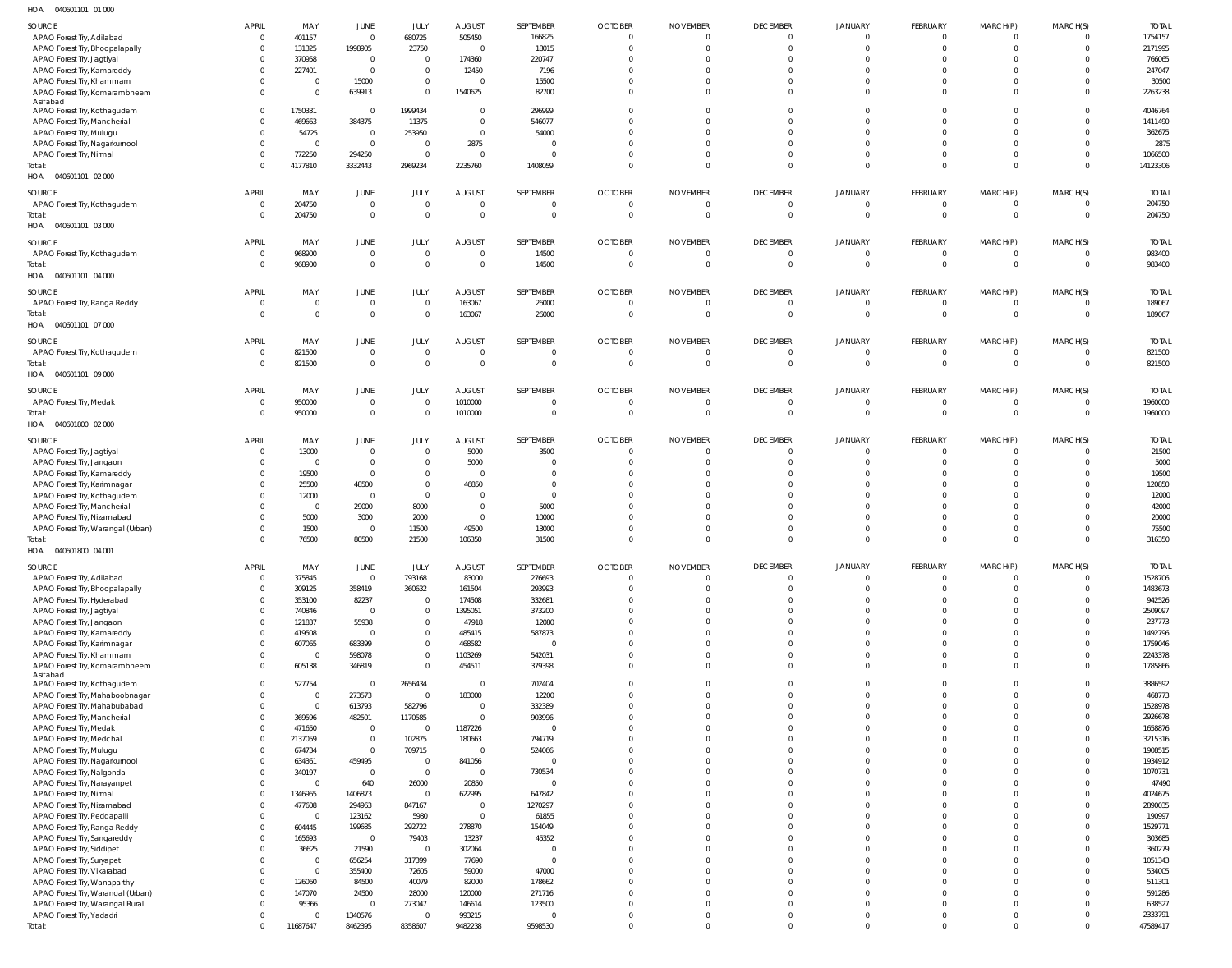040601101 01 000 HOA

| SOURCE                             | <b>APRIL</b>   | MAY            | <b>JUNE</b>    | JULY           | <b>AUGUST</b>           | SEPTEMBER    | <b>OCTOBER</b> | <b>NOVEMBER</b> | <b>DECEMBER</b> | <b>JANUARY</b> | <b>FEBRUARY</b> | MARCH(P)       | MARCH(S)       | <b>TOTAL</b> |
|------------------------------------|----------------|----------------|----------------|----------------|-------------------------|--------------|----------------|-----------------|-----------------|----------------|-----------------|----------------|----------------|--------------|
| APAO Forest Try, Adilabad          | $\Omega$       | 401157         | $\overline{0}$ | 680725         | 505450                  | 166825       |                | $\Omega$        | $\Omega$        | $\Omega$       | $\Omega$        | $\Omega$       | $\Omega$       | 1754157      |
|                                    | $\mathbf 0$    |                |                |                | $\overline{0}$          | 18015        |                | $\Omega$        | $\Omega$        | $\Omega$       | $\Omega$        | $\Omega$       | $\Omega$       | 2171995      |
| APAO Forest Try, Bhoopalapally     |                | 131325         | 1998905        | 23750          |                         |              |                |                 |                 |                |                 |                |                |              |
| APAO Forest Try, Jagtiyal          | $\Omega$       | 370958         | $\overline{0}$ | $\Omega$       | 174360                  | 220747       |                |                 | $\Omega$        | $\Omega$       | $\Omega$        | $\Omega$       | <sup>0</sup>   | 766065       |
| APAO Forest Try, Kamareddy         | $\Omega$       | 227401         | $\mathbf{0}$   | $\Omega$       | 12450                   | 7196         |                |                 | $\Omega$        | $\Omega$       | $\Omega$        | $\Omega$       |                | 247047       |
| APAO Forest Try, Khammam           | $\Omega$       | $\mathbf 0$    | 15000          | $\Omega$       | $\Omega$                | 15500        |                | - 0             | $\Omega$        | $\Omega$       | $\Omega$        | $\Omega$       | <sup>0</sup>   | 30500        |
| APAO Forest Try, Komarambheem      | $\Omega$       | $\Omega$       | 639913         | $\Omega$       | 1540625                 | 82700        |                | $\Omega$        | $\Omega$        | $\Omega$       | $\Omega$        | $\Omega$       | $\Omega$       | 2263238      |
| Asifabad                           |                |                |                |                |                         |              |                |                 |                 |                |                 |                |                |              |
| APAO Forest Try, Kothagudem        | $\mathbf 0$    | 1750331        | $\overline{0}$ | 1999434        | $\Omega$                | 296999       |                | $\Omega$        | $\Omega$        | $\Omega$       | $\Omega$        | $\Omega$       | $\Omega$       | 4046764      |
|                                    | $\Omega$       | 469663         | 384375         | 11375          | $\Omega$                | 546077       |                |                 | $\Omega$        | $\Omega$       | $\Omega$        | $\Omega$       | $\Omega$       | 1411490      |
| APAO Forest Try, Mancherial        |                |                |                |                |                         |              |                |                 |                 |                |                 |                |                |              |
| APAO Forest Try, Mulugu            | $\Omega$       | 54725          | $\overline{0}$ | 253950         | $\overline{0}$          | 54000        |                |                 | $\Omega$        | $\Omega$       | $\Omega$        | $\Omega$       | $\Omega$       | 362675       |
| APAO Forest Try, Nagarkurnool      | $\Omega$       | $\Omega$       | $\mathbf{0}$   | $\Omega$       | 2875                    |              |                |                 | $\Omega$        | $\Omega$       | $\Omega$        | $\Omega$       | $\Omega$       | 2875         |
| APAO Forest Try, Nirmal            | $\Omega$       | 772250         | 294250         | $\Omega$       | $\Omega$                |              |                | $\Omega$        | $\Omega$        | $\Omega$       | $\Omega$        | $\Omega$       | $\Omega$       | 1066500      |
| Total:                             | $\Omega$       | 4177810        | 3332443        | 2969234        | 2235760                 | 1408059      |                | $\Omega$        | $\Omega$        | $\Omega$       | $\Omega$        | $\Omega$       | $\Omega$       | 14123306     |
|                                    |                |                |                |                |                         |              |                |                 |                 |                |                 |                |                |              |
| HOA  040601101  02  000            |                |                |                |                |                         |              |                |                 |                 |                |                 |                |                |              |
| SOURCE                             | <b>APRIL</b>   | MAY            | JUNE           | JULY           | <b>AUGUST</b>           | SEPTEMBER    | <b>OCTOBER</b> | <b>NOVEMBER</b> | <b>DECEMBER</b> | <b>JANUARY</b> | FEBRUARY        | MARCH(P)       | MARCH(S)       | <b>TOTAL</b> |
|                                    | $\overline{0}$ |                | $\mathbf 0$    | $\overline{0}$ | $\overline{0}$          |              | - 0            | - 0             | $\overline{0}$  | $\overline{0}$ | $\overline{0}$  | $\overline{0}$ | $\Omega$       | 204750       |
| APAO Forest Try, Kothagudem        |                | 204750         |                |                |                         |              |                |                 |                 |                |                 |                |                |              |
| Total:                             | $\Omega$       | 204750         | $\mathbb O$    | $\Omega$       | $\overline{0}$          | $\Omega$     | $\Omega$       | $\Omega$        | $\overline{0}$  | $\overline{0}$ | $\Omega$        | $\overline{0}$ | $\mathbf{0}$   | 204750       |
| HOA  040601101  03  000            |                |                |                |                |                         |              |                |                 |                 |                |                 |                |                |              |
|                                    |                |                |                |                |                         |              |                |                 |                 |                |                 |                |                |              |
| SOURCE                             | <b>APRIL</b>   | MAY            | <b>JUNE</b>    | JULY           | <b>AUGUST</b>           | SEPTEMBER    | <b>OCTOBER</b> | <b>NOVEMBER</b> | <b>DECEMBER</b> | <b>JANUARY</b> | FEBRUARY        | MARCH(P)       | MARCH(S)       | <b>TOTAL</b> |
| APAO Forest Try, Kothagudem        | $\overline{0}$ | 968900         | $\mathbf 0$    | $\Omega$       | $\overline{0}$          | 14500        | $\Omega$       | $\circ$         | $\overline{0}$  | $\overline{0}$ | $\overline{0}$  | $\overline{0}$ | $\Omega$       | 983400       |
| Total:                             | $\Omega$       | 968900         | $\Omega$       | $\Omega$       | $\Omega$                | 14500        | -C             | $\Omega$        | $\Omega$        | $\Omega$       | $\Omega$        | $\Omega$       | $\Omega$       | 983400       |
| HOA<br>040601101 04 000            |                |                |                |                |                         |              |                |                 |                 |                |                 |                |                |              |
|                                    |                |                |                |                |                         |              |                |                 |                 |                |                 |                |                |              |
| SOURCE                             | <b>APRIL</b>   | MAY            | <b>JUNE</b>    | JULY           | <b>AUGUST</b>           | SEPTEMBER    | <b>OCTOBER</b> | <b>NOVEMBER</b> | <b>DECEMBER</b> | <b>JANUARY</b> | FEBRUARY        | MARCH(P)       | MARCH(S)       | <b>TOTAL</b> |
| APAO Forest Try, Ranga Reddy       | $^{\circ}$     | $\mathbf 0$    | $\mathbf 0$    | $\Omega$       | 163067                  | 26000        | - 0            | $\Omega$        | $\overline{0}$  | $\overline{0}$ | $\Omega$        | $\overline{0}$ | $\Omega$       | 189067       |
| Total:                             | $\Omega$       | $\overline{0}$ | $\overline{0}$ | $\Omega$       |                         | 26000        | $\Omega$       | $\Omega$        | $\overline{0}$  | $\overline{0}$ | $\Omega$        | $\overline{0}$ | $\mathbf{0}$   | 189067       |
|                                    |                |                |                |                | 163067                  |              |                |                 |                 |                |                 |                |                |              |
| HOA  040601101  07 000             |                |                |                |                |                         |              |                |                 |                 |                |                 |                |                |              |
|                                    | <b>APRIL</b>   |                | <b>JUNE</b>    |                | <b>AUGUST</b>           | SEPTEMBER    | <b>OCTOBER</b> | <b>NOVEMBER</b> | <b>DECEMBER</b> |                |                 | MARCH(P)       | MARCH(S)       | <b>TOTAL</b> |
| SOURCE                             |                | MAY            |                | JULY           |                         |              |                |                 |                 | <b>JANUARY</b> | FEBRUARY        |                |                |              |
| APAO Forest Try, Kothagudem        | 0              | 821500         | $\mathbf 0$    | $\Omega$       | $\mathbf 0$             |              |                | $\Omega$        | $\Omega$        | $\Omega$       | $\Omega$        | $\overline{0}$ | $\Omega$       | 821500       |
| Total:                             | $\Omega$       | 821500         | $\mathbf 0$    | $\Omega$       | $\overline{0}$          | $\Omega$     | $\mathsf{C}$   | $\Omega$        | $\overline{0}$  | $\overline{0}$ | $\Omega$        | $\overline{0}$ | $\overline{0}$ | 821500       |
| HOA  040601101  09  000            |                |                |                |                |                         |              |                |                 |                 |                |                 |                |                |              |
|                                    |                |                |                |                |                         |              |                |                 |                 |                |                 |                |                |              |
| SOURCE                             | <b>APRIL</b>   | MAY            | JUNE           | JULY           | <b>AUGUST</b>           | SEPTEMBER    | <b>OCTOBER</b> | <b>NOVEMBER</b> | <b>DECEMBER</b> | <b>JANUARY</b> | FEBRUARY        | MARCH(P)       | MARCH(S)       | <b>TOTAL</b> |
| APAO Forest Try, Medak             | $\overline{0}$ | 950000         | $\mathbf 0$    | $\Omega$       | 1010000                 | - 0          | - 0            | - 0             | $\overline{0}$  | $\overline{0}$ | $\overline{0}$  | $\overline{0}$ | $\Omega$       | 1960000      |
| Total:                             | $\Omega$       | 950000         | $\mathbf 0$    | $\Omega$       | 1010000                 | $\Omega$     | $\mathsf{C}$   | $\Omega$        | $\overline{0}$  | $\overline{0}$ | $\Omega$        | $\Omega$       | $\overline{0}$ | 1960000      |
| HOA  040601800  02  000            |                |                |                |                |                         |              |                |                 |                 |                |                 |                |                |              |
|                                    |                |                |                |                |                         |              |                |                 |                 |                |                 |                |                |              |
| SOURCE                             | <b>APRIL</b>   | MAY            | <b>JUNE</b>    | JULY           | <b>AUGUST</b>           | SEPTEMBER    | <b>OCTOBER</b> | <b>NOVEMBER</b> | <b>DECEMBER</b> | <b>JANUARY</b> | FEBRUARY        | MARCH(P)       | MARCH(S)       | <b>TOTAL</b> |
|                                    | $\Omega$       | 13000          | $\mathbf{0}$   | $\Omega$       | 5000                    | 3500         | $\Omega$       | $\Omega$        | $\Omega$        | $\Omega$       | $\Omega$        | $\overline{0}$ | $\mathbf{0}$   | 21500        |
| APAO Forest Try, Jagtiyal          |                |                |                |                |                         |              |                |                 |                 |                |                 |                |                |              |
| APAO Forest Try, Jangaon           | $\Omega$       | $\overline{0}$ | $\mathbf{0}$   | $\Omega$       | 5000                    |              |                | $\Omega$        | $\Omega$        | $\Omega$       | $\Omega$        | $\Omega$       | $\Omega$       | 5000         |
| APAO Forest Try, Kamareddy         | $\Omega$       | 19500          | $\mathbf{0}$   | $\overline{0}$ | $\overline{0}$          |              |                |                 | $\Omega$        | $\Omega$       | $\Omega$        | $\Omega$       | $\Omega$       | 19500        |
| APAO Forest Try, Karimnagar        |                | 25500          | 48500          | $\mathbf{0}$   | 46850                   |              |                |                 | $\Omega$        | $\Omega$       |                 | $\Omega$       | $\Omega$       | 120850       |
| APAO Forest Try, Kothagudem        |                | 12000          | $\overline{0}$ | $\Omega$       | $\Omega$                |              |                |                 | $\Omega$        | $\Omega$       |                 | $\Omega$       |                | 12000        |
|                                    |                |                |                |                |                         |              |                |                 |                 |                |                 |                |                |              |
| APAO Forest Try, Mancherial        |                | $\overline{0}$ | 29000          | 8000           | $\Omega$                | 5000         |                |                 | <sup>0</sup>    | $\Omega$       |                 | $\Omega$       | $\Omega$       | 42000        |
|                                    |                |                |                |                |                         |              |                |                 | $\Omega$        | $\Omega$       | $\Omega$        | $\Omega$       |                | 20000        |
| APAO Forest Try, Nizamabad         |                | 5000           | 3000           | 2000           | $\overline{0}$          | 10000        |                |                 |                 |                |                 |                |                |              |
| APAO Forest Try, Warangal (Urban)  |                | 1500           | $\overline{0}$ | 11500          | 49500                   | 13000        |                | $\Omega$        | $\Omega$        | $\Omega$       | $\Omega$        | $\Omega$       |                | 75500        |
|                                    |                |                |                |                |                         |              |                |                 | $\Omega$        | $\Omega$       | $\Omega$        | $\Omega$       | $\Omega$       |              |
| Total:                             |                | 76500          | 80500          | 21500          | 106350                  | 31500        |                |                 |                 |                |                 |                |                | 316350       |
| HOA  040601800  04  001            |                |                |                |                |                         |              |                |                 |                 |                |                 |                |                |              |
|                                    |                |                |                |                |                         |              |                |                 |                 |                |                 |                |                |              |
| SOURCE                             | <b>APRIL</b>   | MAY            | JUNE           | <b>JULY</b>    | <b>AUGUST</b>           | SEPTEMBER    | <b>OCTOBER</b> | <b>NOVEMBER</b> | <b>DECEMBER</b> | <b>JANUARY</b> | FEBRUARY        | MARCH(P)       | MARCH(S)       | <b>TOTAL</b> |
| APAO Forest Try, Adilabad          | $\mathbf 0$    | 375845         | $\mathbf 0$    | 793168         | 83000                   | 276693       | - 0            | $\Omega$        | $\overline{0}$  | $\overline{0}$ | $\overline{0}$  | $\overline{0}$ | $\Omega$       | 1528706      |
| APAO Forest Try, Bhoopalapally     | $\mathbf 0$    | 309125         | 358419         | 360632         | 161504                  | 293993       | $\Omega$       | $\Omega$        | $\overline{0}$  | $\overline{0}$ | $\Omega$        | $\overline{0}$ | $\Omega$       | 1483673      |
| APAO Forest Try, Hyderabad         | $\mathbf 0$    | 353100         | 82237          | $\Omega$       | 174508                  | 332681       |                |                 | $\Omega$        | $\Omega$       | $\Omega$        | $\Omega$       | $\Omega$       | 942526       |
| APAO Forest Try, Jagtiyal          | $\Omega$       | 740846         | $\mathbf 0$    | $\Omega$       | 1395051                 | 373200       |                | $\Omega$        | $\Omega$        | $\Omega$       | $\Omega$        | $\Omega$       | $\Omega$       | 2509097      |
|                                    | $\mathbf 0$    |                |                | $\mathbf{0}$   |                         |              |                | $\Omega$        | $\Omega$        | $\Omega$       | $\Omega$        | $\Omega$       | $\Omega$       |              |
| APAO Forest Try, Jangaon           |                | 121837         | 55938          |                | 47918                   | 12080        |                |                 |                 |                |                 |                |                | 237773       |
| APAO Forest Try, Kamareddy         | $\Omega$       | 419508         | $\overline{0}$ | $\Omega$       | 485415                  | 587873       |                | $\Omega$        | $\Omega$        | $\Omega$       | $\Omega$        | $\Omega$       | $\Omega$       | 1492796      |
| APAO Forest Try, Karimnagar        | $\Omega$       | 607065         | 683399         | $\mathbf{0}$   | 468582                  | $\mathsf{C}$ |                | $\Omega$        | $\Omega$        | $\Omega$       | $\Omega$        | $\Omega$       | $\Omega$       | 1759046      |
| APAO Forest Try, Khammam           | $\Omega$       | $\Omega$       | 598078         | $\Omega$       | 1103269                 | 542031       |                | $\Omega$        | $\Omega$        | $\Omega$       | $\Omega$        | $\Omega$       | $\Omega$       | 2243378      |
| APAO Forest Try, Komarambheem      | $\Omega$       | 605138         | 346819         | $\Omega$       | 454511                  | 379398       |                | $\Omega$        | $\Omega$        | $\Omega$       | $\Omega$        | $\Omega$       | $\Omega$       | 1785866      |
| Asifabad                           |                |                |                |                |                         |              |                |                 |                 |                |                 |                |                |              |
| APAO Forest Try, Kothagudem        | $\Omega$       | 527754         | $\overline{0}$ | 2656434        | $\overline{0}$          | 702404       |                | $\Omega$        | $\Omega$        | $\Omega$       | $\Omega$        | $\Omega$       | $\Omega$       | 3886592      |
| APAO Forest Try, Mahaboobnagar     | $\mathbf 0$    | $\overline{0}$ | 273573         | $\Omega$       | 183000                  | 12200        |                | $\Omega$        | $\Omega$        | $\Omega$       | $\Omega$        | $\Omega$       | $\Omega$       | 468773       |
|                                    | $\Omega$       | $\Omega$       |                | 582796         | $\overline{0}$          |              |                | $\Omega$        | $\Omega$        | $\Omega$       | $\Omega$        | $\Omega$       | $\Omega$       | 1528978      |
| APAO Forest Try, Mahabubabad       |                |                | 613793         |                |                         | 332389       |                |                 |                 |                | $\Omega$        | $\Omega$       | $\Omega$       |              |
| APAO Forest Try, Mancherial        | $\Omega$       | 369596         | 482501         | 1170585        | $\overline{0}$          | 903996       |                | $\Omega$        | $\Omega$        | $\Omega$       |                 |                |                | 2926678      |
| APAO Forest Try, Medak             | $\Omega$       | 471650         | $\mathbf 0$    | $\Omega$       | 1187226                 |              |                | $\Omega$        | $\Omega$        | $\Omega$       | $\Omega$        | $\Omega$       | $\Omega$       | 1658876      |
| APAO Forest Try, Medchal           | $\mathbf 0$    | 2137059        | $\mathsf 0$    | 102875         | 180663                  | 794719       |                | $\Omega$        | $\Omega$        | $\Omega$       | $\Omega$        | $\Omega$       | $\Omega$       | 3215316      |
| APAO Forest Try, Mulugu            | $\Omega$       | 674734         | $\mathbb O$    | 709715         | $\overline{\mathbf{0}}$ | 524066       |                | $\Omega$        | $\Omega$        | $\Omega$       | $\Omega$        | $\Omega$       | $\Omega$       | 1908515      |
|                                    | $\Omega$       |                |                | $\Omega$       |                         | $\Omega$     |                | $\Omega$        | $\Omega$        | $\Omega$       | $\Omega$        | $\Omega$       | $\Omega$       | 1934912      |
| APAO Forest Try, Nagarkurnool      |                | 634361         | 459495         |                | 841056                  |              |                |                 |                 |                |                 |                |                |              |
| APAO Forest Try, Nalgonda          | $\Omega$       | 340197         | $\mathbf 0$    | $\Omega$       | $\overline{0}$          | 730534       |                | $\Omega$        | $\Omega$        | $\Omega$       | $\Omega$        | $\Omega$       | $\Omega$       | 1070731      |
| APAO Forest Try, Narayanpet        | $\Omega$       | $\Omega$       | 640            | 26000          | 20850                   | $\Omega$     |                |                 | $\Omega$        | $\Omega$       | $\Omega$        | $\Omega$       | $\Omega$       | 47490        |
| APAO Forest Try, Nirmal            | $\Omega$       | 1346965        | 1406873        | $\Omega$       | 622995                  | 647842       |                |                 | $\Omega$        | $\Omega$       | $\Omega$        | $\Omega$       | $\Omega$       | 4024675      |
| APAO Forest Try, Nizamabad         | $\Omega$       | 477608         | 294963         | 847167         | $\overline{0}$          | 1270297      |                | $\Omega$        | $\Omega$        | $\Omega$       | $\Omega$        | $\Omega$       | $\Omega$       | 2890035      |
|                                    | $\Omega$       | $\Omega$       |                |                |                         |              |                | $\Omega$        | $\Omega$        | $\Omega$       | $\Omega$        | $\Omega$       | $\Omega$       |              |
| APAO Forest Try, Peddapalli        |                |                | 123162         | 5980           | $\mathbf 0$             | 61855        |                |                 |                 |                |                 |                |                | 190997       |
| APAO Forest Try, Ranga Reddy       | $\Omega$       | 604445         | 199685         | 292722         | 278870                  | 154049       |                | $\Omega$        | $\Omega$        | $\Omega$       | $\Omega$        | $\Omega$       | $\Omega$       | 1529771      |
| APAO Forest Try, Sangareddy        | $\Omega$       | 165693         | $\mathbf 0$    | 79403          | 13237                   | 45352        |                | $\Omega$        | $\Omega$        | $\Omega$       | $\Omega$        | $\Omega$       | $\Omega$       | 303685       |
| APAO Forest Try, Siddipet          | U              | 36625          | 21590          | $\overline{0}$ | 302064                  | - 0          |                | $\Omega$        | $\Omega$        | $\Omega$       | $\Omega$        | $\Omega$       | $\Omega$       | 360279       |
|                                    |                | $^{\circ}$     | 656254         |                | 77690                   | $\Omega$     |                | $\Omega$        | $\Omega$        | $\Omega$       | $\Omega$        | $\Omega$       | $\Omega$       | 1051343      |
| APAO Forest Try, Suryapet          |                |                |                | 317399         |                         |              |                |                 |                 |                | $\Omega$        | $\Omega$       | $\Omega$       |              |
| APAO Forest Try, Vikarabad         | $\Omega$       | $\Omega$       | 355400         | 72605          | 59000                   | 47000        |                |                 | $\Omega$        | $\Omega$       |                 |                |                | 534005       |
| APAO Forest Try, Wanaparthy        | $\Omega$       | 126060         | 84500          | 40079          | 82000                   | 178662       |                |                 | $\Omega$        | $\Omega$       | $\Omega$        | $\Omega$       | $\Omega$       | 511301       |
| APAO Forest Try, Warangal (Urban)  | $\Omega$       | 147070         | 24500          | 28000          | 120000                  | 271716       |                | $\Omega$        | $\Omega$        | $\Omega$       | $\Omega$        | $\Omega$       | $\Omega$       | 591286       |
| APAO Forest Try, Warangal Rural    |                | 95366          | $\overline{0}$ | 273047         | 146614                  | 123500       |                | $\Omega$        | $\Omega$        | $\Omega$       | $\Omega$        | $\Omega$       | $\Omega$       | 638527       |
|                                    | $\Omega$       | $\Omega$       | 1340576        | $\Omega$       |                         | $\mathsf{C}$ |                | $\overline{0}$  | $\mathbf{0}$    | $\overline{0}$ | $\overline{0}$  | $\overline{0}$ | $\Omega$       | 2333791      |
| APAO Forest Try, Yadadri<br>Total: | $\Omega$       | 11687647       | 8462395        | 8358607        | 993215<br>9482238       | 9598530      | $\Omega$       | $\Omega$        | $\Omega$        | $\Omega$       | $\Omega$        | $\Omega$       | $\Omega$       | 47589417     |